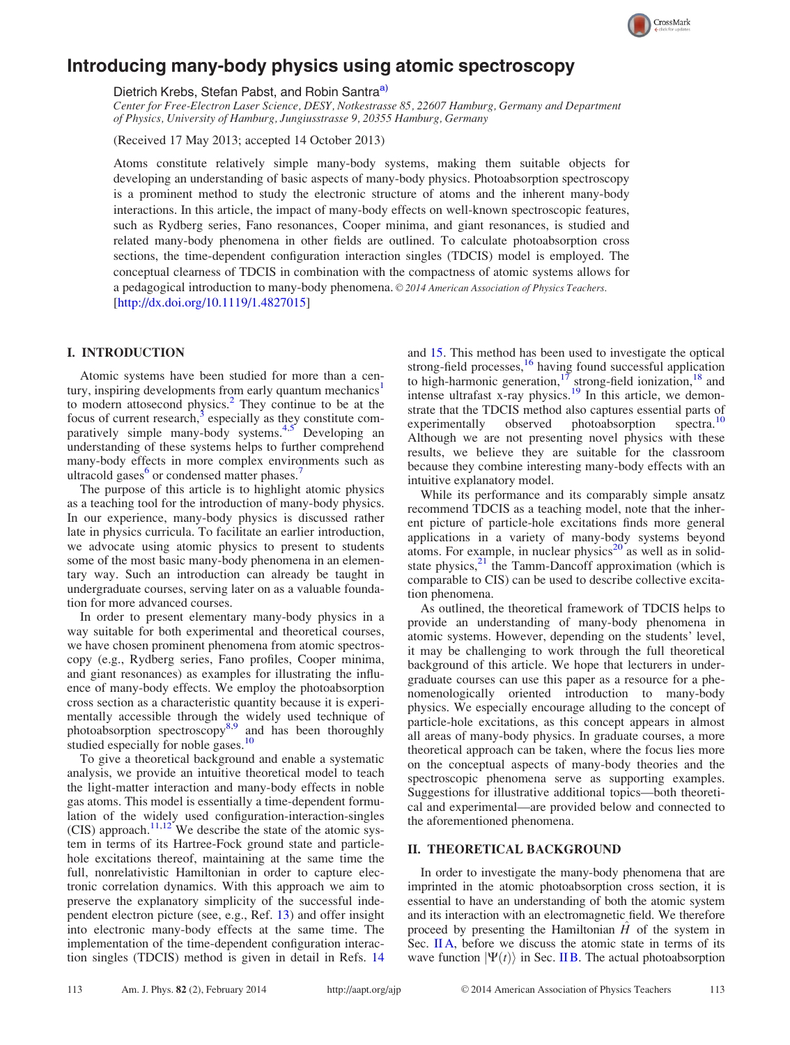

# Introducing many-body physics using atomic spectroscopy

Dietrich Krebs, Stefan Pabst, and Robin Santra<sup>a)</sup>

Center for Free-Electron Laser Science, DESY, Notkestrasse 85, 22607 Hamburg, Germany and Department of Physics, University of Hamburg, Jungiusstrasse 9, 20355 Hamburg, Germany

(Received 17 May 2013; accepted 14 October 2013)

Atoms constitute relatively simple many-body systems, making them suitable objects for developing an understanding of basic aspects of many-body physics. Photoabsorption spectroscopy is a prominent method to study the electronic structure of atoms and the inherent many-body interactions. In this article, the impact of many-body effects on well-known spectroscopic features, such as Rydberg series, Fano resonances, Cooper minima, and giant resonances, is studied and related many-body phenomena in other fields are outlined. To calculate photoabsorption cross sections, the time-dependent configuration interaction singles (TDCIS) model is employed. The conceptual clearness of TDCIS in combination with the compactness of atomic systems allows for a pedagogical introduction to many-body phenomena. © 2014 American Association of Physics Teachers. [\[http://dx.doi.org/10.1119/1.4827015](http://dx.doi.org/10.1119/1.4827015)]

# I. INTRODUCTION

Atomic systems have been studied for more than a cen-tury, inspiring developments from early quantum mechanics<sup>[1](#page-8-0)</sup> to modern attosecond physics.<sup>[2](#page-8-0)</sup> They continue to be at the focus of current research, $3$  especially as they constitute com-paratively simple many-body systems.<sup>[4,5](#page-8-0)</sup> Developing an understanding of these systems helps to further comprehend many-body effects in more complex environments such as ultracold gases $\degree$  or condensed matter phases.<sup>[7](#page-8-0)</sup>

The purpose of this article is to highlight atomic physics as a teaching tool for the introduction of many-body physics. In our experience, many-body physics is discussed rather late in physics curricula. To facilitate an earlier introduction, we advocate using atomic physics to present to students some of the most basic many-body phenomena in an elementary way. Such an introduction can already be taught in undergraduate courses, serving later on as a valuable foundation for more advanced courses.

In order to present elementary many-body physics in a way suitable for both experimental and theoretical courses, we have chosen prominent phenomena from atomic spectroscopy (e.g., Rydberg series, Fano profiles, Cooper minima, and giant resonances) as examples for illustrating the influence of many-body effects. We employ the photoabsorption cross section as a characteristic quantity because it is experimentally accessible through the widely used technique of photoabsorption spectroscopy[8,9](#page-8-0) and has been thoroughly studied especially for noble gases.<sup>[10](#page-8-0)</sup>

To give a theoretical background and enable a systematic analysis, we provide an intuitive theoretical model to teach the light-matter interaction and many-body effects in noble gas atoms. This model is essentially a time-dependent formulation of the widely used configuration-interaction-singles  $(CIS)$  approach.<sup>11,12</sup> We describe the state of the atomic system in terms of its Hartree-Fock ground state and particlehole excitations thereof, maintaining at the same time the full, nonrelativistic Hamiltonian in order to capture electronic correlation dynamics. With this approach we aim to preserve the explanatory simplicity of the successful independent electron picture (see, e.g., Ref. [13\)](#page-8-0) and offer insight into electronic many-body effects at the same time. The implementation of the time-dependent configuration interaction singles (TDCIS) method is given in detail in Refs. [14](#page-8-0) and [15](#page-8-0). This method has been used to investigate the optical strong-field processes,<sup>[16](#page-8-0)</sup> having found successful application to high-harmonic generation,  $17$  strong-field ionization,  $18$  and intense ultrafast x-ray physics.<sup>[19](#page-8-0)</sup> In this article, we demonstrate that the TDCIS method also captures essential parts of experimentally observed photoabsorption spectra.<sup>10</sup> experimentally observed photoabsorption Although we are not presenting novel physics with these results, we believe they are suitable for the classroom because they combine interesting many-body effects with an intuitive explanatory model.

While its performance and its comparably simple ansatz recommend TDCIS as a teaching model, note that the inherent picture of particle-hole excitations finds more general applications in a variety of many-body systems beyond atoms. For example, in nuclear physics $20$  as well as in solidstate physics, $21$  the Tamm-Dancoff approximation (which is comparable to CIS) can be used to describe collective excitation phenomena.

As outlined, the theoretical framework of TDCIS helps to provide an understanding of many-body phenomena in atomic systems. However, depending on the students' level, it may be challenging to work through the full theoretical background of this article. We hope that lecturers in undergraduate courses can use this paper as a resource for a phenomenologically oriented introduction to many-body physics. We especially encourage alluding to the concept of particle-hole excitations, as this concept appears in almost all areas of many-body physics. In graduate courses, a more theoretical approach can be taken, where the focus lies more on the conceptual aspects of many-body theories and the spectroscopic phenomena serve as supporting examples. Suggestions for illustrative additional topics—both theoretical and experimental—are provided below and connected to the aforementioned phenomena.

# II. THEORETICAL BACKGROUND

In order to investigate the many-body phenomena that are imprinted in the atomic photoabsorption cross section, it is essential to have an understanding of both the atomic system and its interaction with an electromagnetic field. We therefore proceed by presenting the Hamiltonian  $\hat{H}$  of the system in Sec.  $\mathbf{II} \mathbf{A}$ , before we discuss the atomic state in terms of its wave function  $|\Psi(t)\rangle$  in Sec. [II B](#page-1-0). The actual photoabsorption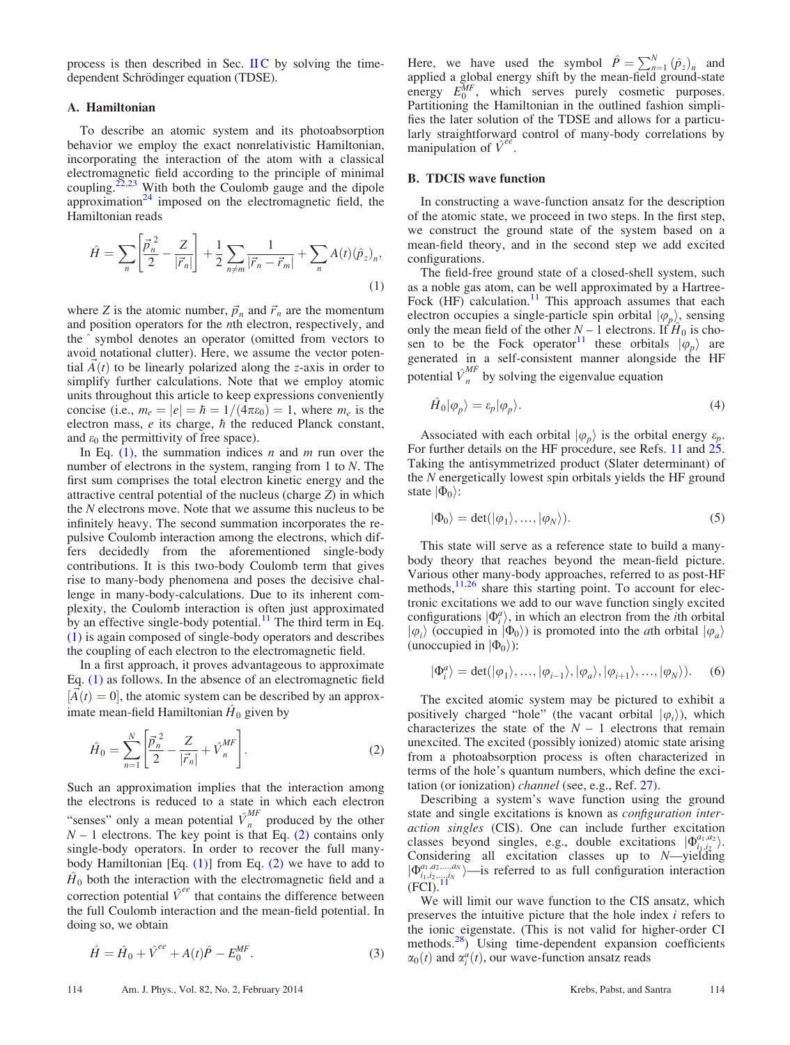<span id="page-1-0"></span>process is then described in Sec.  $\rm{I\!I}$ C by solving the timedependent Schrödinger equation (TDSE).

## A. Hamiltonian

To describe an atomic system and its photoabsorption behavior we employ the exact nonrelativistic Hamiltonian, incorporating the interaction of the atom with a classical electromagnetic field according to the principle of minimal coupling.<sup>[22,23](#page-8-0)</sup> With both the Coulomb gauge and the dipole approximation $^{24}$  $^{24}$  $^{24}$  imposed on the electromagnetic field, the Hamiltonian reads

$$
\hat{H} = \sum_{n} \left[ \frac{\vec{p}_n^{\,2}}{2} - \frac{Z}{|\vec{r}_n|} \right] + \frac{1}{2} \sum_{n \neq m} \frac{1}{|\vec{r}_n - \vec{r}_m|} + \sum_{n} A(t)(\hat{p}_z)_n, \tag{1}
$$

where Z is the atomic number,  $\vec{p}_n$  and  $\vec{r}_n$  are the momentum and position operators for the nth electron, respectively, and the ^ symbol denotes an operator (omitted from vectors to avoid notational clutter). Here, we assume the vector potential  $\vec{A}(t)$  to be linearly polarized along the z-axis in order to simplify further calculations. Note that we employ atomic units throughout this article to keep expressions conveniently concise (i.e.,  $m_e = |e| = \hbar = 1/(4\pi\epsilon_0) = 1$ , where  $m_e$  is the electron mass,  $e$  its charge,  $\hbar$  the reduced Planck constant, and  $\varepsilon_0$  the permittivity of free space).

In Eq.  $(1)$ , the summation indices *n* and *m* run over the number of electrons in the system, ranging from 1 to N. The first sum comprises the total electron kinetic energy and the attractive central potential of the nucleus (charge Z) in which the N electrons move. Note that we assume this nucleus to be infinitely heavy. The second summation incorporates the repulsive Coulomb interaction among the electrons, which differs decidedly from the aforementioned single-body contributions. It is this two-body Coulomb term that gives rise to many-body phenomena and poses the decisive challenge in many-body-calculations. Due to its inherent complexity, the Coulomb interaction is often just approximated by an effective single-body potential.<sup>[11](#page-8-0)</sup> The third term in Eq. (1) is again composed of single-body operators and describes the coupling of each electron to the electromagnetic field.

In a first approach, it proves advantageous to approximate Eq. (1) as follows. In the absence of an electromagnetic field  $[\vec{A}(t) = 0]$ , the atomic system can be described by an approximate mean-field Hamiltonian  $H_0$  given by

$$
\hat{H}_0 = \sum_{n=1}^{N} \left[ \frac{\vec{p}_n^{\;2}}{2} - \frac{Z}{|\vec{r}_n|} + \hat{V}_n^{MF} \right].
$$
 (2)

Such an approximation implies that the interaction among the electrons is reduced to a state in which each electron "senses" only a mean potential  $\hat{V}^{MF}_n$  produced by the other  $N-1$  electrons. The key point is that Eq. (2) contains only single-body operators. In order to recover the full manybody Hamiltonian [Eq.  $(1)$ ] from Eq.  $(2)$  we have to add to  $\hat{H}_0$  both the interaction with the electromagnetic field and a correction potential  $\hat{V}^{ee}$  that contains the difference between the full Coulomb interaction and the mean-field potential. In doing so, we obtain

$$
\hat{H} = \hat{H}_0 + \hat{V}^{ee} + A(t)\hat{P} - E_0^{MF}.
$$
 (3)

Here, we have used the symbol  $\hat{P} = \sum_{n=1}^{N} (\hat{p}_z)_n$  and applied a global energy shift by the mean-field ground-state energy  $E_0^{MF}$ , which serves purely cosmetic purposes. Partitioning the Hamiltonian in the outlined fashion simplifies the later solution of the TDSE and allows for a particularly straightforward control of many-body correlations by manipulation of  $\hat{V}^{ee}$ .

## B. TDCIS wave function

In constructing a wave-function ansatz for the description of the atomic state, we proceed in two steps. In the first step, we construct the ground state of the system based on a mean-field theory, and in the second step we add excited configurations.

The field-free ground state of a closed-shell system, such as a noble gas atom, can be well approximated by a Hartree-Fock  $(HF)$  calculation.<sup>[11](#page-8-0)</sup> This approach assumes that each electron occupies a single-particle spin orbital  $|\varphi_n\rangle$ , sensing only the mean field of the other  $N - 1$  electrons. If  $\hat{H}_0$  is cho-sen to be the Fock operator<sup>[11](#page-8-0)</sup> these orbitals  $|\varphi_p\rangle$  are generated in a self-consistent manner alongside the HF potential  $\hat{V}_n^{MF}$  by solving the eigenvalue equation

$$
\hat{H}_0|\varphi_p\rangle = \varepsilon_p|\varphi_p\rangle. \tag{4}
$$

Associated with each orbital  $|\varphi_p\rangle$  is the orbital energy  $\varepsilon_p$ . For further details on the HF procedure, see Refs. [11](#page-8-0) and [25.](#page-8-0) Taking the antisymmetrized product (Slater determinant) of the N energetically lowest spin orbitals yields the HF ground state  $|\Phi_0\rangle$ :

$$
|\Phi_0\rangle = \det(|\varphi_1\rangle, ..., |\varphi_N\rangle). \tag{5}
$$

This state will serve as a reference state to build a manybody theory that reaches beyond the mean-field picture. Various other many-body approaches, referred to as post-HF methods,<sup>[11,26](#page-8-0)</sup> share this starting point. To account for electronic excitations we add to our wave function singly excited configurations  $|\Phi_i^a\rangle$ , in which an electron from the *i*th orbital  $|\varphi_i\rangle$  (occupied in  $|\Phi_0\rangle$ ) is promoted into the *a*th orbital  $|\varphi_a\rangle$ (unoccupied in  $|\Phi_0\rangle$ ):

$$
|\Phi_i^a\rangle = \det(|\varphi_1\rangle, \dots, |\varphi_{i-1}\rangle, |\varphi_a\rangle, |\varphi_{i+1}\rangle, \dots, |\varphi_N\rangle). \tag{6}
$$

The excited atomic system may be pictured to exhibit a positively charged "hole" (the vacant orbital  $|\varphi_i\rangle$ ), which characterizes the state of the  $N - 1$  electrons that remain unexcited. The excited (possibly ionized) atomic state arising from a photoabsorption process is often characterized in terms of the hole's quantum numbers, which define the excitation (or ionization) channel (see, e.g., Ref. [27](#page-8-0)).

Describing a system's wave function using the ground state and single excitations is known as *configuration inter*action singles (CIS). One can include further excitation classes beyond singles, e.g., double excitations  $|\Phi_{i_1,i_2}^{a_1,a_2}\rangle$ . Considering all excitation classes up to  $N$ —yielding  $|\Phi_{i_1,i_2,...,i_N}^{a_1,a_2,...,a_N}\rangle$ —is referred to as full configuration interaction  $(FCI).$ <sup>[11](#page-8-0)</sup>

We will limit our wave function to the CIS ansatz, which preserves the intuitive picture that the hole index i refers to the ionic eigenstate. (This is not valid for higher-order CI methods. $28$ ) Using time-dependent expansion coefficients  $\alpha_0(t)$  and  $\alpha_i^a(t)$ , our wave-function ansatz reads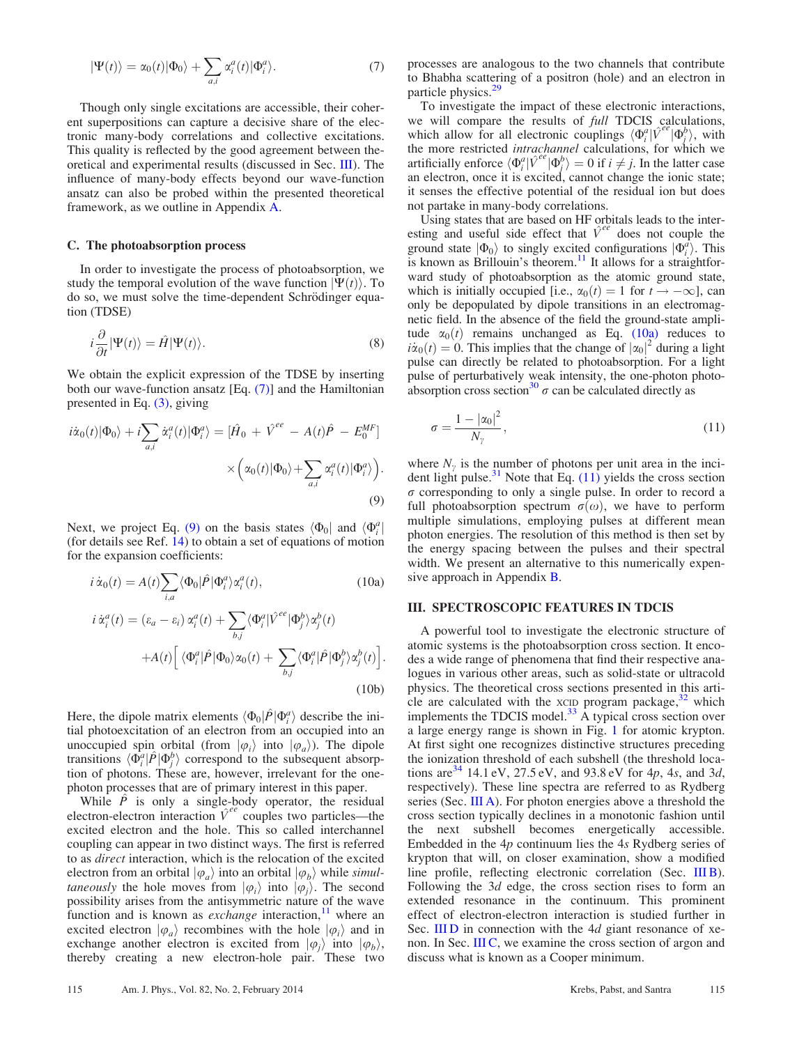<span id="page-2-0"></span>
$$
|\Psi(t)\rangle = \alpha_0(t)|\Phi_0\rangle + \sum_{a,i} \alpha_i^a(t)|\Phi_i^a\rangle.
$$
 (7)

Though only single excitations are accessible, their coherent superpositions can capture a decisive share of the electronic many-body correlations and collective excitations. This quality is reflected by the good agreement between theoretical and experimental results (discussed in Sec. III). The influence of many-body effects beyond our wave-function ansatz can also be probed within the presented theoretical framework, as we outline in Appendix [A.](#page-7-0)

#### C. The photoabsorption process

In order to investigate the process of photoabsorption, we study the temporal evolution of the wave function  $|\Psi(t)\rangle$ . To do so, we must solve the time-dependent Schrödinger equation (TDSE)

$$
i\frac{\partial}{\partial t}|\Psi(t)\rangle = \hat{H}|\Psi(t)\rangle.
$$
 (8)

We obtain the explicit expression of the TDSE by inserting both our wave-function ansatz [Eq. [\(7\)](#page-1-0)] and the Hamiltonian presented in Eq. [\(3\)](#page-1-0), giving

$$
i\dot{\alpha}_0(t)|\Phi_0\rangle + i\sum_{a,i} \dot{\alpha}_i^a(t)|\Phi_i^a\rangle = [\hat{H}_0 + \hat{V}^{ee} - A(t)\hat{P} - E_0^{MF}]
$$
  
 
$$
\times \left(\alpha_0(t)|\Phi_0\rangle + \sum_{a,i} \alpha_i^a(t)|\Phi_i^a\rangle\right).
$$
 (9)

Next, we project Eq. (9) on the basis states  $\langle \Phi_0 |$  and  $\langle \Phi_i^a |$ (for details see Ref. [14\)](#page-8-0) to obtain a set of equations of motion for the expansion coefficients:

$$
i\,\dot{\alpha}_0(t) = A(t) \sum_{i,a} \langle \Phi_0 | \hat{P} | \Phi_i^a \rangle \alpha_i^a(t), \qquad (10a)
$$
  
\n
$$
i\,\dot{\alpha}_i^a(t) = (\varepsilon_a - \varepsilon_i) \alpha_i^a(t) + \sum_{b,j} \langle \Phi_i^a | \hat{V}^{ee} | \Phi_j^b \rangle \alpha_j^b(t) + A(t) \Big[ \langle \Phi_i^a | \hat{P} | \Phi_0 \rangle \alpha_0(t) + \sum_{b,j} \langle \Phi_i^a | \hat{P} | \Phi_j^b \rangle \alpha_j^b(t) \Big]. \tag{10b}
$$

Here, the dipole matrix elements  $\langle \Phi_0 | \hat{P} | \Phi_i^a \rangle$  describe the initial photoexcitation of an electron from an occupied into an unoccupied spin orbital (from  $|\varphi_i\rangle$  into  $|\varphi_a\rangle$ ). The dipole transitions  $\langle \Phi_i^a | \hat{P} | \Phi_j^b \rangle$  correspond to the subsequent absorption of photons. These are, however, irrelevant for the onephoton processes that are of primary interest in this paper.

While  $\hat{P}$  is only a single-body operator, the residual electron-electron interaction  $\hat{V}^{ee}$  couples two particles—the excited electron and the hole. This so called interchannel coupling can appear in two distinct ways. The first is referred to as direct interaction, which is the relocation of the excited electron from an orbital  $|\varphi_a\rangle$  into an orbital  $|\varphi_b\rangle$  while simul*taneously* the hole moves from  $|\varphi_i\rangle$  into  $|\varphi_i\rangle$ . The second possibility arises from the antisymmetric nature of the wave function and is known as *exchange* interaction, $11$  where an excited electron  $|\varphi_a\rangle$  recombines with the hole  $|\varphi_i\rangle$  and in exchange another electron is excited from  $|\varphi_i\rangle$  into  $|\varphi_b\rangle$ , thereby creating a new electron-hole pair. These two

processes are analogous to the two channels that contribute to Bhabha scattering of a positron (hole) and an electron in particle physics.<sup>[29](#page-8-0)</sup>

To investigate the impact of these electronic interactions, we will compare the results of full TDCIS calculations, which allow for all electronic couplings  $\langle \Phi_i^a | \hat{V}^{ee} | \Phi_j^b \rangle$ , with the more restricted intrachannel calculations, for which we artificially enforce  $\langle \Phi_i^a | \hat{V}^{ee} | \Phi_j^b \rangle = 0$  if  $i \neq j$ . In the latter case an electron, once it is excited, cannot change the ionic state; it senses the effective potential of the residual ion but does not partake in many-body correlations.

Using states that are based on HF orbitals leads to the interesting and useful side effect that  $\hat{V}^{ee}$  does not couple the ground state  $|\Phi_0\rangle$  to singly excited configurations  $|\Phi_i^{\hat{a}}\rangle$ . This is known as Brillouin's theorem.<sup>11</sup> It allows for a straightforward study of photoabsorption as the atomic ground state, which is initially occupied [i.e.,  $\alpha_0(t) = 1$  for  $t \to -\infty$ ], can only be depopulated by dipole transitions in an electromagnetic field. In the absence of the field the ground-state amplitude  $\alpha_0(t)$  remains unchanged as Eq. (10a) reduces to  $i\dot{\alpha}_0(t) = 0$ . This implies that the change of  $|\alpha_0|^2$  during a light pulse can directly be related to photoabsorption. For a light pulse of perturbatively weak intensity, the one-photon photoabsorption cross section<sup>30</sup>  $\sigma$  can be calculated directly as

$$
\sigma = \frac{1 - |\alpha_0|^2}{N_\gamma},\tag{11}
$$

where  $N_{\gamma}$  is the number of photons per unit area in the incident light pulse. $31$  Note that Eq. (11) yields the cross section  $\sigma$  corresponding to only a single pulse. In order to record a full photoabsorption spectrum  $\sigma(\omega)$ , we have to perform multiple simulations, employing pulses at different mean photon energies. The resolution of this method is then set by the energy spacing between the pulses and their spectral width. We present an alternative to this numerically expensive approach in Appendix [B.](#page-7-0)

## III. SPECTROSCOPIC FEATURES IN TDCIS

A powerful tool to investigate the electronic structure of atomic systems is the photoabsorption cross section. It encodes a wide range of phenomena that find their respective analogues in various other areas, such as solid-state or ultracold physics. The theoretical cross sections presented in this article are calculated with the  $XCD$  program package, <sup>[32](#page-8-0)</sup> which implements the TDCIS model. $33$  A typical cross section over a large energy range is shown in Fig. [1](#page-3-0) for atomic krypton. At first sight one recognizes distinctive structures preceding the ionization threshold of each subshell (the threshold locations are  $34$  14.1 eV, 27.5 eV, and 93.8 eV for 4p, 4s, and 3d, respectively). These line spectra are referred to as Rydberg series (Sec. [III A\)](#page-3-0). For photon energies above a threshold the cross section typically declines in a monotonic fashion until the next subshell becomes energetically accessible. Embedded in the  $4p$  continuum lies the  $4s$  Rydberg series of krypton that will, on closer examination, show a modified line profile, reflecting electronic correlation (Sec. [III B](#page-4-0)). Following the 3d edge, the cross section rises to form an extended resonance in the continuum. This prominent effect of electron-electron interaction is studied further in Sec. [III D](#page-5-0) in connection with the 4d giant resonance of xe-non. In Sec. [III C](#page-5-0), we examine the cross section of argon and discuss what is known as a Cooper minimum.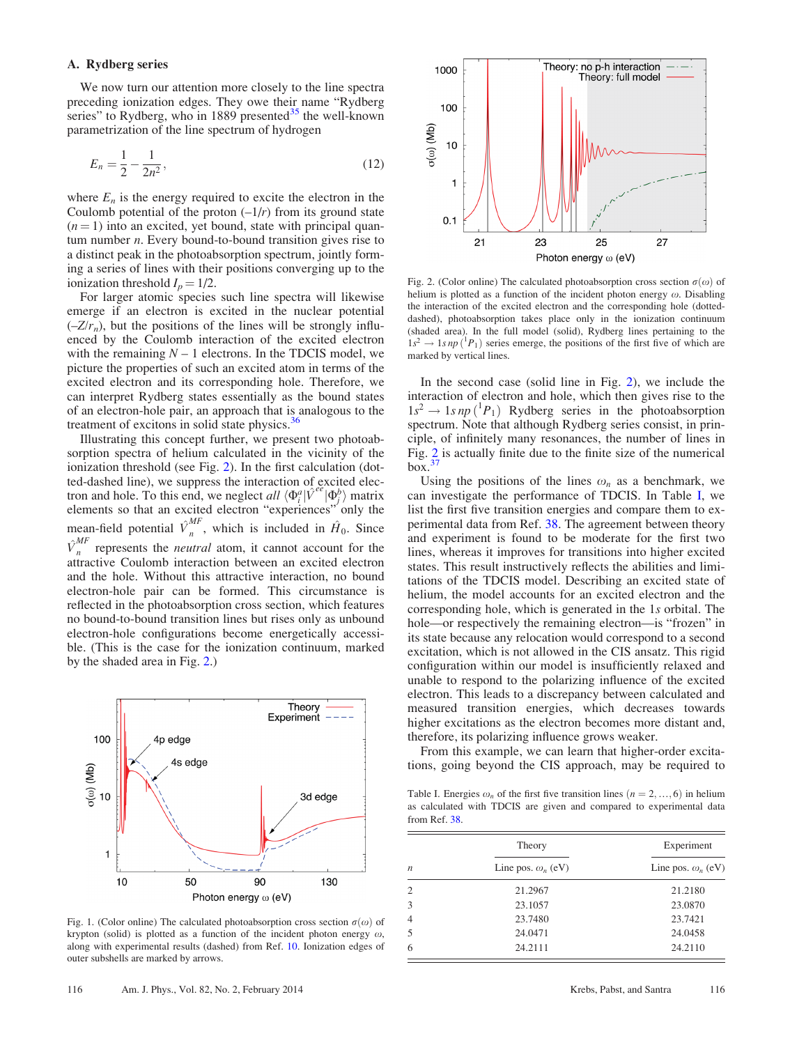## <span id="page-3-0"></span>A. Rydberg series

We now turn our attention more closely to the line spectra preceding ionization edges. They owe their name "Rydberg series" to Rydberg, who in 1889 presented $^{35}$  $^{35}$  $^{35}$  the well-known parametrization of the line spectrum of hydrogen

$$
E_n = \frac{1}{2} - \frac{1}{2n^2},\tag{12}
$$

where  $E_n$  is the energy required to excite the electron in the Coulomb potential of the proton  $(-1/r)$  from its ground state  $(n = 1)$  into an excited, yet bound, state with principal quantum number n. Every bound-to-bound transition gives rise to a distinct peak in the photoabsorption spectrum, jointly forming a series of lines with their positions converging up to the ionization threshold  $I_p = 1/2$ .

For larger atomic species such line spectra will likewise emerge if an electron is excited in the nuclear potential  $(-Z/r_n)$ , but the positions of the lines will be strongly influenced by the Coulomb interaction of the excited electron with the remaining  $N - 1$  electrons. In the TDCIS model, we picture the properties of such an excited atom in terms of the excited electron and its corresponding hole. Therefore, we can interpret Rydberg states essentially as the bound states of an electron-hole pair, an approach that is analogous to the treatment of excitons in solid state physics.<sup>3</sup>

Illustrating this concept further, we present two photoabsorption spectra of helium calculated in the vicinity of the ionization threshold (see Fig. 2). In the first calculation (dotted-dashed line), we suppress the interaction of excited electron and hole. To this end, we neglect all  $\langle \Phi_i^a | \hat{V}^{ee} | \Phi_j^b \rangle$  matrix elements so that an excited electron "experiences" only the mean-field potential  $\hat{V}^{MF}_n$ , which is included in  $\hat{H}_0$ . Since  $\hat{V}^{MF}_n$  represents the *neutral* atom, it cannot account for the attractive Coulomb interaction between an excited electron and the hole. Without this attractive interaction, no bound electron-hole pair can be formed. This circumstance is reflected in the photoabsorption cross section, which features no bound-to-bound transition lines but rises only as unbound electron-hole configurations become energetically accessible. (This is the case for the ionization continuum, marked by the shaded area in Fig. 2.)



Fig. 1. (Color online) The calculated photoabsorption cross section  $\sigma(\omega)$  of krypton (solid) is plotted as a function of the incident photon energy  $\omega$ , along with experimental results (dashed) from Ref. [10](#page-8-0). Ionization edges of outer subshells are marked by arrows.



Fig. 2. (Color online) The calculated photoabsorption cross section  $\sigma(\omega)$  of helium is plotted as a function of the incident photon energy  $\omega$ . Disabling the interaction of the excited electron and the corresponding hole (dotteddashed), photoabsorption takes place only in the ionization continuum (shaded area). In the full model (solid), Rydberg lines pertaining to the  $1s^2 \rightarrow 1s$  np  $({}^1P_1)$  series emerge, the positions of the first five of which are marked by vertical lines.

In the second case (solid line in Fig. 2), we include the interaction of electron and hole, which then gives rise to the  $1s^2 \rightarrow 1s$  np  $({}^1P_1)$  Rydberg series in the photoabsorption spectrum. Note that although Rydberg series consist, in principle, of infinitely many resonances, the number of lines in Fig. 2 is actually finite due to the finite size of the numerical  $box.<sup>37</sup>$  $box.<sup>37</sup>$  $box.<sup>37</sup>$ 

Using the positions of the lines  $\omega_n$  as a benchmark, we can investigate the performance of TDCIS. In Table I, we list the first five transition energies and compare them to experimental data from Ref. [38.](#page-8-0) The agreement between theory and experiment is found to be moderate for the first two lines, whereas it improves for transitions into higher excited states. This result instructively reflects the abilities and limitations of the TDCIS model. Describing an excited state of helium, the model accounts for an excited electron and the corresponding hole, which is generated in the 1s orbital. The hole—or respectively the remaining electron—is "frozen" in its state because any relocation would correspond to a second excitation, which is not allowed in the CIS ansatz. This rigid configuration within our model is insufficiently relaxed and unable to respond to the polarizing influence of the excited electron. This leads to a discrepancy between calculated and measured transition energies, which decreases towards higher excitations as the electron becomes more distant and, therefore, its polarizing influence grows weaker.

From this example, we can learn that higher-order excitations, going beyond the CIS approach, may be required to

Table I. Energies  $\omega_n$  of the first five transition lines  $(n = 2, ..., 6)$  in helium as calculated with TDCIS are given and compared to experimental data from Ref. [38](#page-8-0).

| $\boldsymbol{n}$ | Theory<br>Line pos. $\omega_n$ (eV) | Experiment<br>Line pos. $\omega_n$ (eV) |
|------------------|-------------------------------------|-----------------------------------------|
|                  |                                     |                                         |
| 3                | 23.1057                             | 23.0870                                 |
| 4                | 23.7480                             | 23.7421                                 |
|                  | 24.0471                             | 24.0458                                 |
| 6                | 24.2111                             | 24.2110                                 |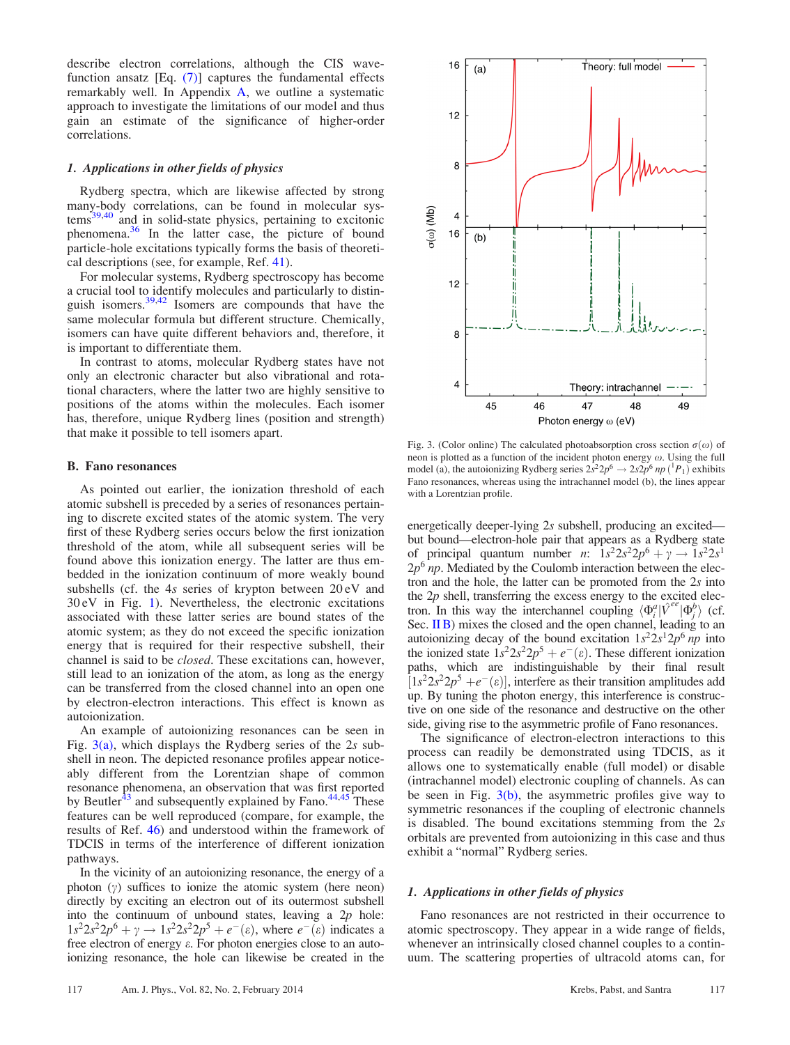<span id="page-4-0"></span>describe electron correlations, although the CIS wavefunction ansatz [Eq. [\(7\)](#page-1-0)] captures the fundamental effects remarkably well. In Appendix [A,](#page-7-0) we outline a systematic approach to investigate the limitations of our model and thus gain an estimate of the significance of higher-order correlations.

## 1. Applications in other fields of physics

Rydberg spectra, which are likewise affected by strong many-body correlations, can be found in molecular sys- $tems<sup>39,40</sup>$  $tems<sup>39,40</sup>$  $tems<sup>39,40</sup>$  and in solid-state physics, pertaining to excitonic phenomena.[36](#page-8-0) In the latter case, the picture of bound particle-hole excitations typically forms the basis of theoretical descriptions (see, for example, Ref. [41](#page-9-0)).

For molecular systems, Rydberg spectroscopy has become a crucial tool to identify molecules and particularly to distin-guish isomers.<sup>[39,42](#page-9-0)</sup> Isomers are compounds that have the same molecular formula but different structure. Chemically, isomers can have quite different behaviors and, therefore, it is important to differentiate them.

In contrast to atoms, molecular Rydberg states have not only an electronic character but also vibrational and rotational characters, where the latter two are highly sensitive to positions of the atoms within the molecules. Each isomer has, therefore, unique Rydberg lines (position and strength) that make it possible to tell isomers apart.

#### B. Fano resonances

As pointed out earlier, the ionization threshold of each atomic subshell is preceded by a series of resonances pertaining to discrete excited states of the atomic system. The very first of these Rydberg series occurs below the first ionization threshold of the atom, while all subsequent series will be found above this ionization energy. The latter are thus embedded in the ionization continuum of more weakly bound subshells (cf. the  $4s$  series of krypton between  $20 \text{ eV}$  and 30 eV in Fig. [1](#page-3-0)). Nevertheless, the electronic excitations associated with these latter series are bound states of the atomic system; as they do not exceed the specific ionization energy that is required for their respective subshell, their channel is said to be closed. These excitations can, however, still lead to an ionization of the atom, as long as the energy can be transferred from the closed channel into an open one by electron-electron interactions. This effect is known as autoionization.

An example of autoionizing resonances can be seen in Fig.  $3(a)$ , which displays the Rydberg series of the 2s subshell in neon. The depicted resonance profiles appear noticeably different from the Lorentzian shape of common resonance phenomena, an observation that was first reported by Beutler<sup> $43$ </sup> and subsequently explained by Fano. $44,45$  These features can be well reproduced (compare, for example, the results of Ref. [46](#page-9-0)) and understood within the framework of TDCIS in terms of the interference of different ionization pathways.

In the vicinity of an autoionizing resonance, the energy of a photon  $(y)$  suffices to ionize the atomic system (here neon) directly by exciting an electron out of its outermost subshell into the continuum of unbound states, leaving a  $2p$  hole:  $1s^22s^22p^6 + \gamma \rightarrow 1s^22s^22p^5 + e^-(\varepsilon)$ , where  $e^-(\varepsilon)$  indicates a free electron of energy  $\varepsilon$ . For photon energies close to an autoionizing resonance, the hole can likewise be created in the



Fig. 3. (Color online) The calculated photoabsorption cross section  $\sigma(\omega)$  of neon is plotted as a function of the incident photon energy  $\omega$ . Using the full model (a), the autoionizing Rydberg series  $2s^2 2p^6 \rightarrow 2s2p^6$  np  $(^1P_1)$  exhibits Fano resonances, whereas using the intrachannel model (b), the lines appear with a Lorentzian profile.

energetically deeper-lying 2s subshell, producing an excited but bound—electron-hole pair that appears as a Rydberg state of principal quantum number n:  $1s^2 2s^2 2p^6 + \gamma \rightarrow 1s^2 2s^1$  $2p<sup>6</sup>$  np. Mediated by the Coulomb interaction between the electron and the hole, the latter can be promoted from the 2s into the 2p shell, transferring the excess energy to the excited electron. In this way the interchannel coupling  $\langle \Phi_i^a | \hat{V}^{ee} | \Phi_j^b \rangle$  (cf. Sec. [II B\)](#page-1-0) mixes the closed and the open channel, leading to an autoionizing decay of the bound excitation  $1s^2 2s^1 2p^6 np$  into the ionized state  $1s^2 2s^2 2p^5 + e^-(\varepsilon)$ . These different ionization paths, which are indistinguishable by their final result  $[1s^22s^22p^5 + e^-(\varepsilon)]$ , interfere as their transition amplitudes add up. By tuning the photon energy, this interference is constructive on one side of the resonance and destructive on the other side, giving rise to the asymmetric profile of Fano resonances.

The significance of electron-electron interactions to this process can readily be demonstrated using TDCIS, as it allows one to systematically enable (full model) or disable (intrachannel model) electronic coupling of channels. As can be seen in Fig. 3(b), the asymmetric profiles give way to symmetric resonances if the coupling of electronic channels is disabled. The bound excitations stemming from the 2s orbitals are prevented from autoionizing in this case and thus exhibit a "normal" Rydberg series.

#### 1. Applications in other fields of physics

Fano resonances are not restricted in their occurrence to atomic spectroscopy. They appear in a wide range of fields, whenever an intrinsically closed channel couples to a continuum. The scattering properties of ultracold atoms can, for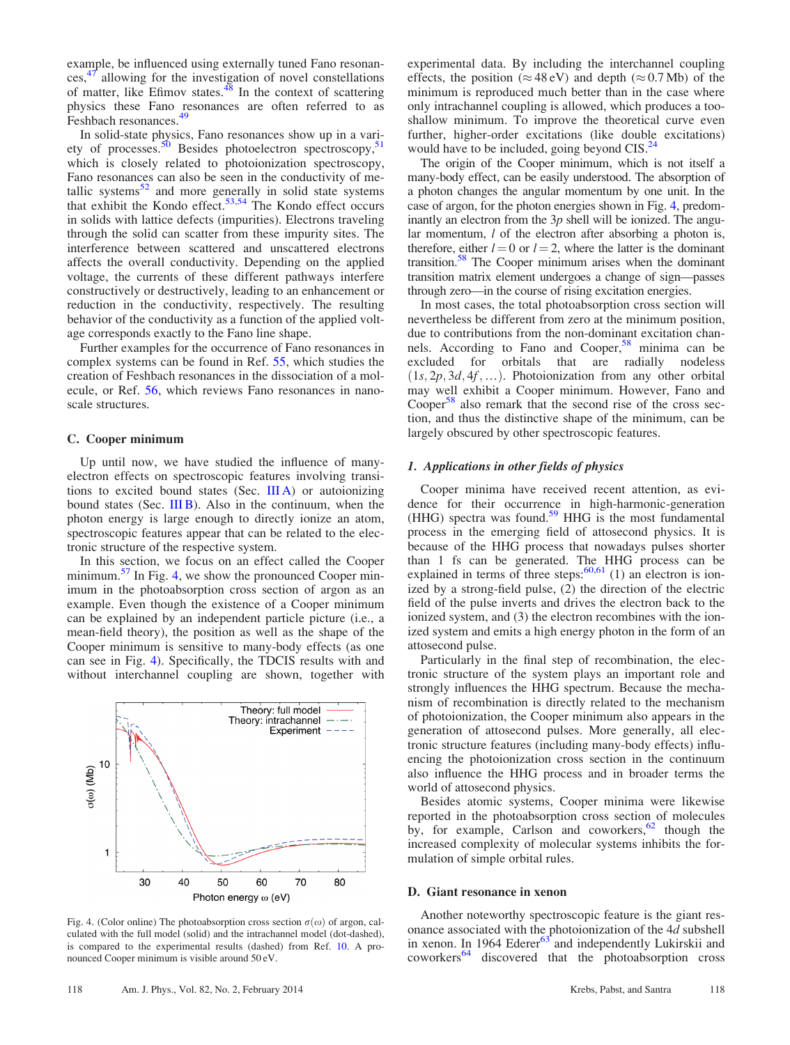<span id="page-5-0"></span>example, be influenced using externally tuned Fano resonan-ces,<sup>[47](#page-9-0)</sup> allowing for the investigation of novel constellations of matter, like Efimov states.<sup>[48](#page-9-0)</sup> In the context of scattering physics these Fano resonances are often referred to as Feshbach resonances.<sup>[49](#page-9-0)</sup>

In solid-state physics, Fano resonances show up in a vari-ety of processes.<sup>[50](#page-9-0)</sup> Besides photoelectron spectroscopy,<sup>[51](#page-9-0)</sup> which is closely related to photoionization spectroscopy, Fano resonances can also be seen in the conductivity of metallic systems $52$  and more generally in solid state systems that exhibit the Kondo effect.[53](#page-9-0),[54](#page-9-0) The Kondo effect occurs in solids with lattice defects (impurities). Electrons traveling through the solid can scatter from these impurity sites. The interference between scattered and unscattered electrons affects the overall conductivity. Depending on the applied voltage, the currents of these different pathways interfere constructively or destructively, leading to an enhancement or reduction in the conductivity, respectively. The resulting behavior of the conductivity as a function of the applied voltage corresponds exactly to the Fano line shape.

Further examples for the occurrence of Fano resonances in complex systems can be found in Ref. [55,](#page-9-0) which studies the creation of Feshbach resonances in the dissociation of a molecule, or Ref. [56](#page-9-0), which reviews Fano resonances in nanoscale structures.

## C. Cooper minimum

Up until now, we have studied the influence of manyelectron effects on spectroscopic features involving transitions to excited bound states (Sec. [III A\)](#page-3-0) or autoionizing bound states (Sec.  $III$  B). Also in the continuum, when the photon energy is large enough to directly ionize an atom, spectroscopic features appear that can be related to the electronic structure of the respective system.

In this section, we focus on an effect called the Cooper minimum.<sup>[57](#page-9-0)</sup> In Fig. 4, we show the pronounced Cooper minimum in the photoabsorption cross section of argon as an example. Even though the existence of a Cooper minimum can be explained by an independent particle picture (i.e., a mean-field theory), the position as well as the shape of the Cooper minimum is sensitive to many-body effects (as one can see in Fig. 4). Specifically, the TDCIS results with and without interchannel coupling are shown, together with



Fig. 4. (Color online) The photoabsorption cross section  $\sigma(\omega)$  of argon, calculated with the full model (solid) and the intrachannel model (dot-dashed), is compared to the experimental results (dashed) from Ref. [10.](#page-8-0) A pronounced Cooper minimum is visible around 50 eV.

experimental data. By including the interchannel coupling effects, the position ( $\approx$  48 eV) and depth ( $\approx$  0.7 Mb) of the minimum is reproduced much better than in the case where only intrachannel coupling is allowed, which produces a tooshallow minimum. To improve the theoretical curve even further, higher-order excitations (like double excitations) would have to be included, going beyond CIS.<sup>2</sup>

The origin of the Cooper minimum, which is not itself a many-body effect, can be easily understood. The absorption of a photon changes the angular momentum by one unit. In the case of argon, for the photon energies shown in Fig. 4, predominantly an electron from the  $3p$  shell will be ionized. The angular momentum, *l* of the electron after absorbing a photon is, therefore, either  $l = 0$  or  $l = 2$ , where the latter is the dominant transition.<sup>[58](#page-9-0)</sup> The Cooper minimum arises when the dominant transition matrix element undergoes a change of sign—passes through zero—in the course of rising excitation energies.

In most cases, the total photoabsorption cross section will nevertheless be different from zero at the minimum position, due to contributions from the non-dominant excitation chan-nels. According to Fano and Cooper,<sup>[58](#page-9-0)</sup> minima can be excluded for orbitals that are radially nodeless  $(1s, 2p, 3d, 4f, \ldots)$ . Photoionization from any other orbital may well exhibit a Cooper minimum. However, Fano and Cooper<sup>[58](#page-9-0)</sup> also remark that the second rise of the cross section, and thus the distinctive shape of the minimum, can be largely obscured by other spectroscopic features.

## 1. Applications in other fields of physics

Cooper minima have received recent attention, as evidence for their occurrence in high-harmonic-generation  $(HHG)$  spectra was found.<sup>[59](#page-9-0)</sup> HHG is the most fundamental process in the emerging field of attosecond physics. It is because of the HHG process that nowadays pulses shorter than 1 fs can be generated. The HHG process can be explained in terms of three steps: $60,61$  $60,61$  $60,61$  (1) an electron is ionized by a strong-field pulse, (2) the direction of the electric field of the pulse inverts and drives the electron back to the ionized system, and (3) the electron recombines with the ionized system and emits a high energy photon in the form of an attosecond pulse.

Particularly in the final step of recombination, the electronic structure of the system plays an important role and strongly influences the HHG spectrum. Because the mechanism of recombination is directly related to the mechanism of photoionization, the Cooper minimum also appears in the generation of attosecond pulses. More generally, all electronic structure features (including many-body effects) influencing the photoionization cross section in the continuum also influence the HHG process and in broader terms the world of attosecond physics.

Besides atomic systems, Cooper minima were likewise reported in the photoabsorption cross section of molecules by, for example, Carlson and coworkers,  $62$  though the increased complexity of molecular systems inhibits the formulation of simple orbital rules.

#### D. Giant resonance in xenon

Another noteworthy spectroscopic feature is the giant resonance associated with the photoionization of the 4d subshell in xenon. In 1964 Ederer<sup>[63](#page-9-0)</sup> and independently Lukirskii and coworkers<sup>[64](#page-9-0)</sup> discovered that the photoabsorption cross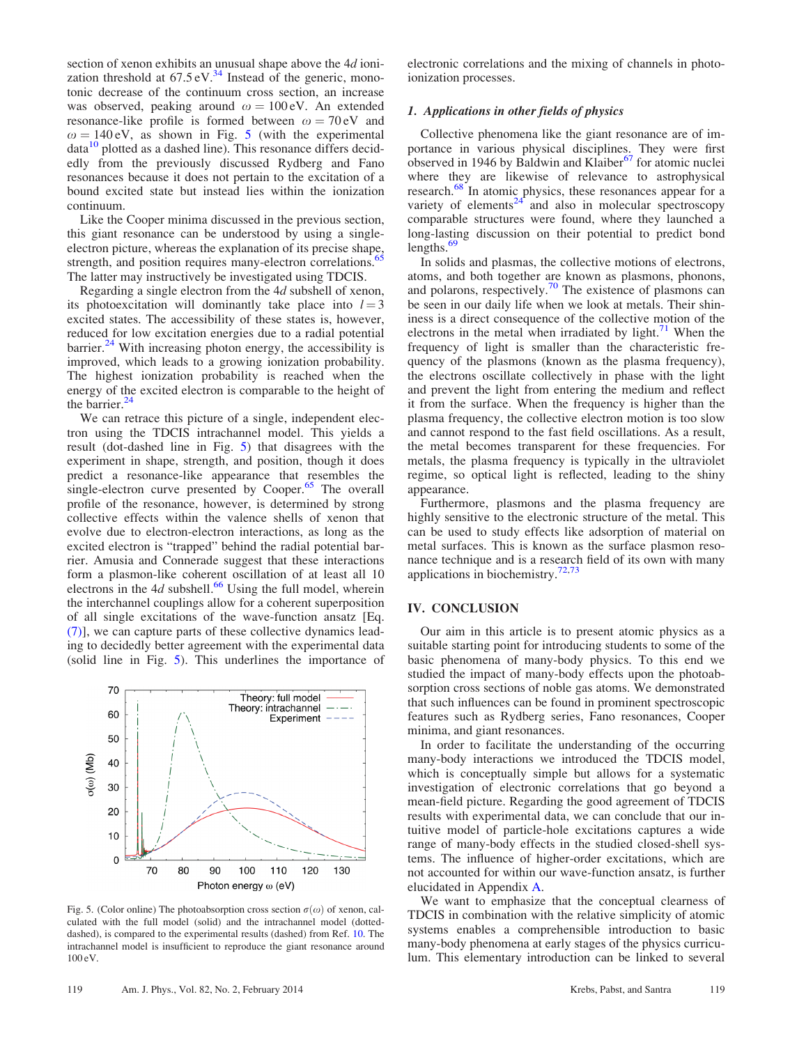section of xenon exhibits an unusual shape above the 4d ionization threshold at  $67.5 \,\mathrm{eV}^{34}$  $67.5 \,\mathrm{eV}^{34}$  $67.5 \,\mathrm{eV}^{34}$  Instead of the generic, monotonic decrease of the continuum cross section, an increase was observed, peaking around  $\omega = 100 \text{ eV}$ . An extended resonance-like profile is formed between  $\omega = 70 \text{ eV}$  and  $\omega = 140 \text{ eV}$ , as shown in Fig. 5 (with the experimental  $data<sup>10</sup>$  $data<sup>10</sup>$  $data<sup>10</sup>$  plotted as a dashed line). This resonance differs decidedly from the previously discussed Rydberg and Fano resonances because it does not pertain to the excitation of a bound excited state but instead lies within the ionization continuum.

Like the Cooper minima discussed in the previous section, this giant resonance can be understood by using a singleelectron picture, whereas the explanation of its precise shape, strength, and position requires many-electron correlations.<sup>6</sup> The latter may instructively be investigated using TDCIS.

Regarding a single electron from the 4d subshell of xenon, its photoexcitation will dominantly take place into  $l = 3$ excited states. The accessibility of these states is, however, reduced for low excitation energies due to a radial potential  $barrier.<sup>24</sup>$  $barrier.<sup>24</sup>$  $barrier.<sup>24</sup>$  With increasing photon energy, the accessibility is improved, which leads to a growing ionization probability. The highest ionization probability is reached when the energy of the excited electron is comparable to the height of the barrier. $<sup>2</sup>$ </sup>

We can retrace this picture of a single, independent electron using the TDCIS intrachannel model. This yields a result (dot-dashed line in Fig. 5) that disagrees with the experiment in shape, strength, and position, though it does predict a resonance-like appearance that resembles the single-electron curve presented by Cooper.<sup>65</sup> The overall profile of the resonance, however, is determined by strong collective effects within the valence shells of xenon that evolve due to electron-electron interactions, as long as the excited electron is "trapped" behind the radial potential barrier. Amusia and Connerade suggest that these interactions form a plasmon-like coherent oscillation of at least all 10 electrons in the 4d subshell.<sup>[66](#page-9-0)</sup> Using the full model, wherein the interchannel couplings allow for a coherent superposition of all single excitations of the wave-function ansatz [Eq. [\(7\)\]](#page-1-0), we can capture parts of these collective dynamics leading to decidedly better agreement with the experimental data (solid line in Fig. 5). This underlines the importance of



Fig. 5. (Color online) The photoabsorption cross section  $\sigma(\omega)$  of xenon, calculated with the full model (solid) and the intrachannel model (dotteddashed), is compared to the experimental results (dashed) from Ref. [10](#page-8-0). The intrachannel model is insufficient to reproduce the giant resonance around 100 eV.

electronic correlations and the mixing of channels in photoionization processes.

## 1. Applications in other fields of physics

Collective phenomena like the giant resonance are of importance in various physical disciplines. They were first observed in 1946 by Baldwin and Klaiber<sup>[67](#page-9-0)</sup> for atomic nuclei where they are likewise of relevance to astrophysical research.<sup>[68](#page-9-0)</sup> In atomic physics, these resonances appear for a variety of elements<sup>[24](#page-8-0)</sup> and also in molecular spectroscopy comparable structures were found, where they launched a long-lasting discussion on their potential to predict bond lengths. $69$ 

In solids and plasmas, the collective motions of electrons, atoms, and both together are known as plasmons, phonons, and polarons, respectively.<sup>[70](#page-9-0)</sup> The existence of plasmons can be seen in our daily life when we look at metals. Their shininess is a direct consequence of the collective motion of the electrons in the metal when irradiated by light.<sup>71</sup> When the frequency of light is smaller than the characteristic frequency of the plasmons (known as the plasma frequency), the electrons oscillate collectively in phase with the light and prevent the light from entering the medium and reflect it from the surface. When the frequency is higher than the plasma frequency, the collective electron motion is too slow and cannot respond to the fast field oscillations. As a result, the metal becomes transparent for these frequencies. For metals, the plasma frequency is typically in the ultraviolet regime, so optical light is reflected, leading to the shiny appearance.

Furthermore, plasmons and the plasma frequency are highly sensitive to the electronic structure of the metal. This can be used to study effects like adsorption of material on metal surfaces. This is known as the surface plasmon resonance technique and is a research field of its own with many applications in biochemistry. $72,73$ 

## IV. CONCLUSION

Our aim in this article is to present atomic physics as a suitable starting point for introducing students to some of the basic phenomena of many-body physics. To this end we studied the impact of many-body effects upon the photoabsorption cross sections of noble gas atoms. We demonstrated that such influences can be found in prominent spectroscopic features such as Rydberg series, Fano resonances, Cooper minima, and giant resonances.

In order to facilitate the understanding of the occurring many-body interactions we introduced the TDCIS model, which is conceptually simple but allows for a systematic investigation of electronic correlations that go beyond a mean-field picture. Regarding the good agreement of TDCIS results with experimental data, we can conclude that our intuitive model of particle-hole excitations captures a wide range of many-body effects in the studied closed-shell systems. The influence of higher-order excitations, which are not accounted for within our wave-function ansatz, is further elucidated in Appendix [A](#page-7-0).

We want to emphasize that the conceptual clearness of TDCIS in combination with the relative simplicity of atomic systems enables a comprehensible introduction to basic many-body phenomena at early stages of the physics curriculum. This elementary introduction can be linked to several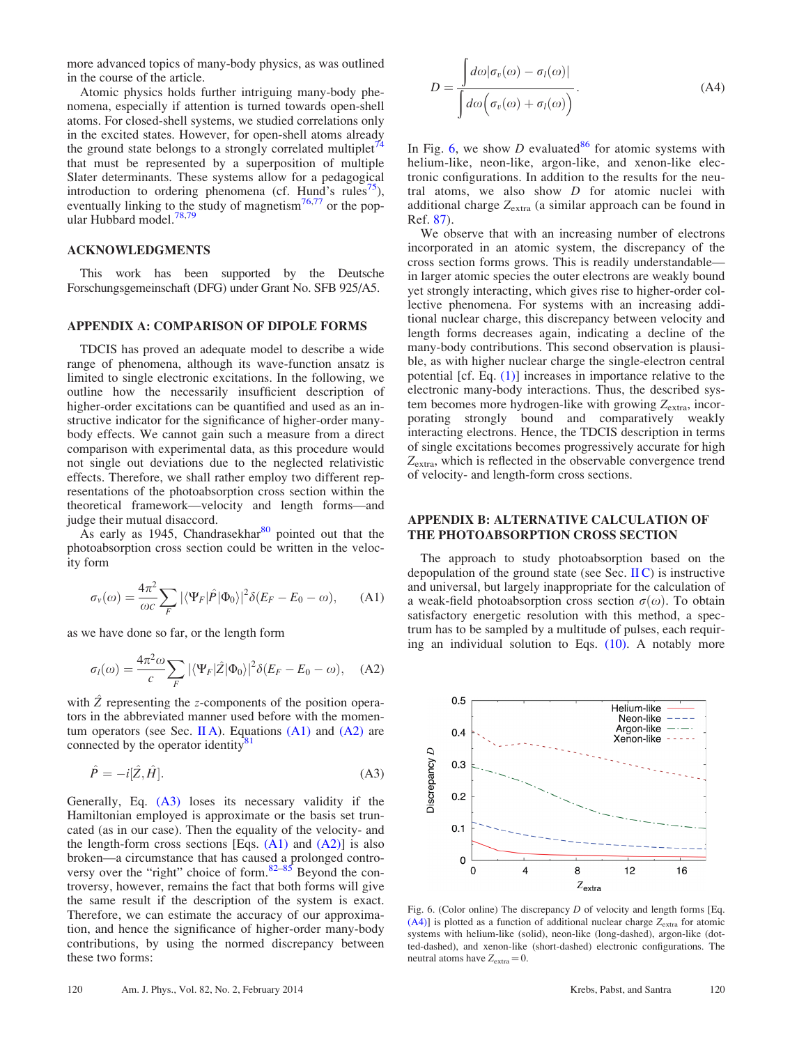<span id="page-7-0"></span>more advanced topics of many-body physics, as was outlined in the course of the article.

Atomic physics holds further intriguing many-body phenomena, especially if attention is turned towards open-shell atoms. For closed-shell systems, we studied correlations only in the excited states. However, for open-shell atoms already the ground state belongs to a strongly correlated multiplet<sup> $\mu$ </sup> that must be represented by a superposition of multiple Slater determinants. These systems allow for a pedagogical introduction to ordering phenomena (cf. Hund's rules<sup>[75](#page-9-0)</sup>), eventually linking to the study of magnetism $\frac{76}{77}$  $\frac{76}{77}$  $\frac{76}{77}$  $\frac{76}{77}$  $\frac{76}{77}$  or the popular Hubbard model. $78,79$ 

## ACKNOWLEDGMENTS

This work has been supported by the Deutsche Forschungsgemeinschaft (DFG) under Grant No. SFB 925/A5.

#### APPENDIX A: COMPARISON OF DIPOLE FORMS

TDCIS has proved an adequate model to describe a wide range of phenomena, although its wave-function ansatz is limited to single electronic excitations. In the following, we outline how the necessarily insufficient description of higher-order excitations can be quantified and used as an instructive indicator for the significance of higher-order manybody effects. We cannot gain such a measure from a direct comparison with experimental data, as this procedure would not single out deviations due to the neglected relativistic effects. Therefore, we shall rather employ two different representations of the photoabsorption cross section within the theoretical framework—velocity and length forms—and judge their mutual disaccord.

As early as 1945, Chandrasekhar $80$  pointed out that the photoabsorption cross section could be written in the velocity form

$$
\sigma_{v}(\omega) = \frac{4\pi^{2}}{\omega c} \sum_{F} |\langle \Psi_{F} | \hat{P} | \Phi_{0} \rangle|^{2} \delta(E_{F} - E_{0} - \omega), \quad (A1)
$$

as we have done so far, or the length form

$$
\sigma_l(\omega) = \frac{4\pi^2 \omega}{c} \sum_F |\langle \Psi_F | \hat{Z} | \Phi_0 \rangle|^2 \delta(E_F - E_0 - \omega), \quad \text{(A2)}
$$

with  $\hat{Z}$  representing the z-components of the position operators in the abbreviated manner used before with the momen-tum operators (see Sec. [II A\)](#page-1-0). Equations  $(A1)$  and  $(A2)$  are connected by the operator identity<sup>8</sup>

$$
\hat{P} = -i[\hat{Z}, \hat{H}].
$$
\n(A3)

Generally, Eq. (A3) loses its necessary validity if the Hamiltonian employed is approximate or the basis set truncated (as in our case). Then the equality of the velocity- and the length-form cross sections [Eqs.  $(A1)$  and  $(A2)$ ] is also broken—a circumstance that has caused a prolonged contro-versy over the "right" choice of form.<sup>[82–85](#page-9-0)</sup> Beyond the controversy, however, remains the fact that both forms will give the same result if the description of the system is exact. Therefore, we can estimate the accuracy of our approximation, and hence the significance of higher-order many-body contributions, by using the normed discrepancy between these two forms:

$$
D = \frac{\int d\omega |\sigma_v(\omega) - \sigma_l(\omega)|}{\int d\omega (\sigma_v(\omega) + \sigma_l(\omega))}.
$$
 (A4)

In Fig. 6, we show D evaluated<sup>[86](#page-9-0)</sup> for atomic systems with helium-like, neon-like, argon-like, and xenon-like electronic configurations. In addition to the results for the neutral atoms, we also show  $D$  for atomic nuclei with additional charge  $Z_{\text{extra}}$  (a similar approach can be found in Ref. [87](#page-9-0)).

We observe that with an increasing number of electrons incorporated in an atomic system, the discrepancy of the cross section forms grows. This is readily understandable in larger atomic species the outer electrons are weakly bound yet strongly interacting, which gives rise to higher-order collective phenomena. For systems with an increasing additional nuclear charge, this discrepancy between velocity and length forms decreases again, indicating a decline of the many-body contributions. This second observation is plausible, as with higher nuclear charge the single-electron central potential [cf. Eq.  $(1)$ ] increases in importance relative to the electronic many-body interactions. Thus, the described system becomes more hydrogen-like with growing  $Z_{\text{extra}}$ , incorporating strongly bound and comparatively weakly interacting electrons. Hence, the TDCIS description in terms of single excitations becomes progressively accurate for high  $Z_{\text{extra}}$ , which is reflected in the observable convergence trend of velocity- and length-form cross sections.

# APPENDIX B: ALTERNATIVE CALCULATION OF THE PHOTOABSORPTION CROSS SECTION

The approach to study photoabsorption based on the depopulation of the ground state (see Sec.  $\text{IIC}$ ) is instructive and universal, but largely inappropriate for the calculation of a weak-field photoabsorption cross section  $\sigma(\omega)$ . To obtain satisfactory energetic resolution with this method, a spectrum has to be sampled by a multitude of pulses, each requiring an individual solution to Eqs.  $(10)$ . A notably more



Fig. 6. (Color online) The discrepancy  $D$  of velocity and length forms [Eq.  $(A4)$ ] is plotted as a function of additional nuclear charge  $Z_{\text{extra}}$  for atomic systems with helium-like (solid), neon-like (long-dashed), argon-like (dotted-dashed), and xenon-like (short-dashed) electronic configurations. The neutral atoms have  $Z_{\text{extra}} = 0$ .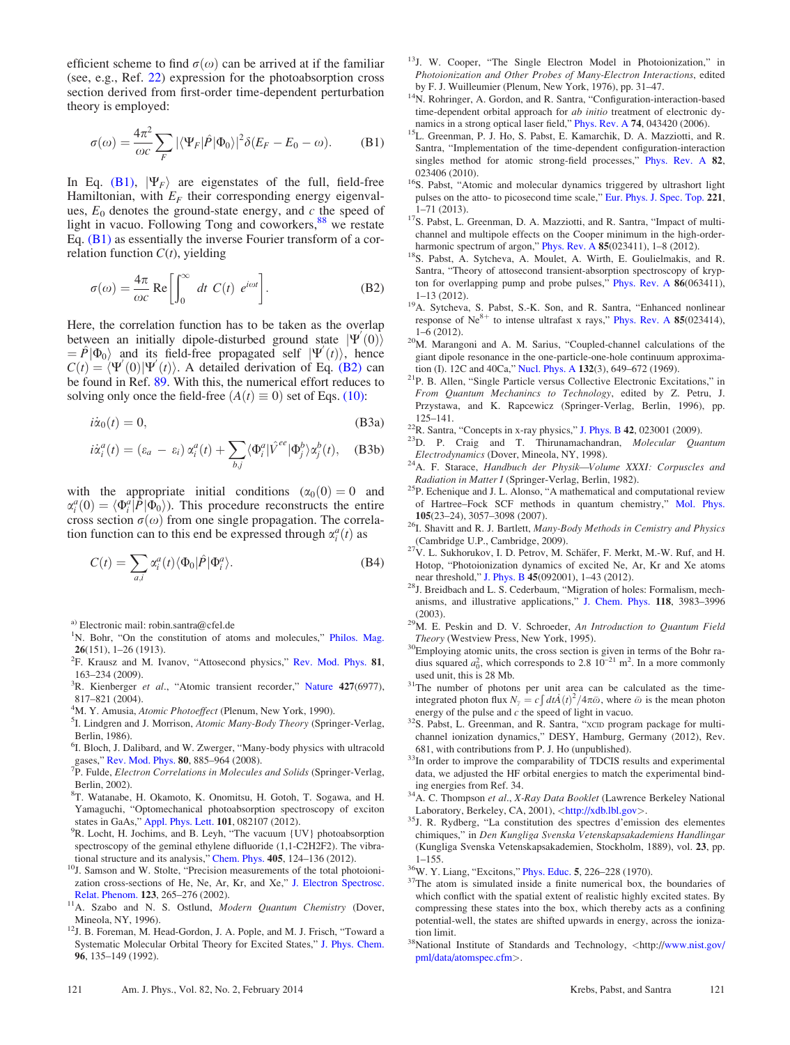<span id="page-8-0"></span>efficient scheme to find  $\sigma(\omega)$  can be arrived at if the familiar (see, e.g., Ref. 22) expression for the photoabsorption cross section derived from first-order time-dependent perturbation theory is employed:

$$
\sigma(\omega) = \frac{4\pi^2}{\omega c} \sum_F |\langle \Psi_F | \hat{P} | \Phi_0 \rangle|^2 \delta(E_F - E_0 - \omega). \tag{B1}
$$

In Eq. (B1),  $|\Psi_F\rangle$  are eigenstates of the full, field-free Hamiltonian, with  $E_F$  their corresponding energy eigenvalues,  $E_0$  denotes the ground-state energy, and  $c$  the speed of light in vacuo. Following Tong and coworkers,<sup>[88](#page-9-0)</sup> we restate Eq. (B1) as essentially the inverse Fourier transform of a correlation function  $C(t)$ , yielding

$$
\sigma(\omega) = \frac{4\pi}{\omega c} \operatorname{Re} \left[ \int_0^\infty dt \ C(t) \ e^{i\omega t} \right].
$$
 (B2)

Here, the correlation function has to be taken as the overlap between an initially dipole-disturbed ground state  $|\Psi'(0)\rangle$  $= \hat{P}|\Phi_0\rangle$  and its field-free propagated self  $|\Psi'(t)\rangle$ , hence  $C(t) = \langle \Psi'(0) | \Psi'(t) \rangle$ . A detailed derivation of Eq. (B2) can be found in Ref. [89](#page-9-0). With this, the numerical effort reduces to solving only once the field-free  $(A(t) \equiv 0)$  set of Eqs. (10):

$$
i\dot{\alpha}_0(t) = 0,\t\t(B3a)
$$

$$
i\dot{\alpha}_i^a(t) = (\varepsilon_a - \varepsilon_i) \alpha_i^a(t) + \sum_{bj} \langle \Phi_i^a | \hat{V}^{ee} | \Phi_j^b \rangle \alpha_j^b(t), \quad (B3b)
$$

with the appropriate initial conditions  $(\alpha_0(0)=0$  and  $\alpha_i^a(0) = \langle \Phi_i^a | \hat{P} | \Phi_0 \rangle$ ). This procedure reconstructs the entire cross section  $\sigma(\omega)$  from one single propagation. The correlation function can to this end be expressed through  $\alpha_i^a(t)$  as

$$
C(t) = \sum_{a,i} \alpha_i^a(t) \langle \Phi_0 | \hat{P} | \Phi_i^a \rangle.
$$
 (B4)

a) Electronic mail: [robin.santra@cfel.de](mailto:robin.santra@cfel.de)

- ${}^{1}$ N. Bohr, "On the constitution of atoms and molecules," [Philos. Mag.](http://dx.doi.org/10.1080/14786441308634955)  $26(151)$ , 1–26 (1913).
- <sup>2</sup>F. Krausz and M. Ivanov, "Attosecond physics," [Rev. Mod. Phys.](http://dx.doi.org/10.1103/RevModPhys.81.163) 81, 163–234 (2009).
- <sup>3</sup>R. Kienberger et al., "Atomic transient recorder," [Nature](http://dx.doi.org/10.1038/nature02277) 427(6977), 817–821 (2004).
- <sup>4</sup>M. Y. Amusia, *Atomic Photoeffect* (Plenum, New York, 1990).
- <sup>5</sup>I. Lindgren and J. Morrison, Atomic Many-Body Theory (Springer-Verlag, Berlin, 1986).
- <sup>6</sup>I. Bloch, J. Dalibard, and W. Zwerger, "Many-body physics with ultracold gases," [Rev. Mod. Phys.](http://dx.doi.org/10.1103/RevModPhys.80.885) <sup>80</sup>, 885–964 (2008). <sup>7</sup>
- $^{7}P$ . Fulde, Electron Correlations in Molecules and Solids (Springer-Verlag, Berlin, 2002).
- 8 T. Watanabe, H. Okamoto, K. Onomitsu, H. Gotoh, T. Sogawa, and H. Yamaguchi, "Optomechanical photoabsorption spectroscopy of exciton states in GaAs," [Appl. Phys. Lett.](http://dx.doi.org/10.1063/1.4747328) 101, 082107 (2012).
- <sup>9</sup>R. Locht, H. Jochims, and B. Leyh, "The vacuum {UV} photoabsorption spectroscopy of the geminal ethylene difluoride (1,1-C2H2F2). The vibra-
- tional structure and its analysis," [Chem. Phys.](http://dx.doi.org/10.1016/j.chemphys.2012.07.003)  $405$ ,  $124-136$  (2012). <sup>10</sup>J. Samson and W. Stolte, "Precision measurements of the total photoionization cross-sections of He, Ne, Ar, Kr, and Xe," [J. Electron Spectrosc.](http://dx.doi.org/10.1016/S0368-2048(02)00026-9) [Relat. Phenom.](http://dx.doi.org/10.1016/S0368-2048(02)00026-9) 123, 265–276 (2002). <sup>11</sup>A. Szabo and N. S. Ostlund, *Modern Quantum Chemistry* (Dover,
- Mineola, NY, 1996). <sup>12</sup>J. B. Foreman, M. Head-Gordon, J. A. Pople, and M. J. Frisch, "Toward a
- Systematic Molecular Orbital Theory for Excited States," [J. Phys. Chem.](http://dx.doi.org/10.1021/j100180a030) 96, 135–149 (1992).
- <sup>13</sup>J. W. Cooper, "The Single Electron Model in Photoionization," in Photoionization and Other Probes of Many-Electron Interactions, edited
- by F. J. Wuilleumier (Plenum, New York, 1976), pp. 31–47.<br><sup>14</sup>N. Rohringer, A. Gordon, and R. Santra, "Configuration-interaction-based time-dependent orbital approach for ab initio treatment of electronic dy-namics in a strong optical laser field," [Phys. Rev. A](http://dx.doi.org/10.1103/PhysRevA.74.043420) 74, 043420 (2006).<br><sup>15</sup>L. Greenman, P. J. Ho, S. Pabst, E. Kamarchik, D. A. Mazziotti, and R.
- Santra, "Implementation of the time-dependent configuration-interaction singles method for atomic strong-field processes," [Phys. Rev. A](http://dx.doi.org/10.1103/PhysRevA.82.023406) 82, 023406 (2010).  $16$ S. Pabst, "Atomic and molecular dynamics triggered by ultrashort light
- pulses on the atto- to picosecond time scale," [Eur. Phys. J. Spec. Top.](http://dx.doi.org/10.1140/epjst/e2013-01819-x) 221,
- $1-71$  (2013).<br><sup>17</sup>S. Pabst, L. Greenman, D. A. Mazziotti, and R. Santra, "Impact of multichannel and multipole effects on the Cooper minimum in the high-order-
- harmonic spectrum of argon," [Phys. Rev. A](http://dx.doi.org/10.1103/PhysRevA.82.023406) 85(023411), 1–8 (2012). <sup>18</sup>S. Pabst, A. Sytcheva, A. Moulet, A. Wirth, E. Goulielmakis, and R. Santra, "Theory of attosecond transient-absorption spectroscopy of kryp-ton for overlapping pump and probe pulses," [Phys. Rev. A](http://dx.doi.org/10.1103/PhysRevA.86.063411)  $86(063411)$ , 1-13 (2012).
- <sup>19</sup>A. Sytcheva, S. Pabst, S.-K. Son, and R. Santra, "Enhanced nonlinear response of  $Ne^{8+}$  to intense ultrafast x rays," [Phys. Rev. A](http://dx.doi.org/10.1103/PhysRevA.85.023414) 85(023414),
- $1-6$  (2012).<br><sup>20</sup>M. Marangoni and A. M. Sarius, "Coupled-channel calculations of the giant dipole resonance in the one-particle-one-hole continuum approxima-
- tion (I). 12C and 40Ca," [Nucl. Phys. A](http://dx.doi.org/10.1016/0375-9474(69)90725-8)  $132(3)$ , 649–672 (1969). <sup>21</sup>P. B. Allen, "Single Particle versus Collective Electronic Excitations," in From Quantum Mechanincs to Technology, edited by Z. Petru, J. Przystawa, and K. Rapcewicz (Springer-Verlag, Berlin, 1996), pp.
- 
- <sup>22</sup>R. Santra, "Concepts in x-ray physics," [J. Phys. B](http://dx.doi.org/10.1088/0953-4075/42/2/023001) 42, 023001 (2009). <sup>23</sup>D. P. Craig and T. Thirunamachandran, *Molecular Quantum* Electrodynamics (Dover, Mineola, NY, 1998).<br><sup>24</sup>A. F. Starace, Handbuch der Physik—Volume XXXI: Corpuscles and
- 
- *Radiation in Matter I* (Springer-Verlag, Berlin, 1982). <sup>25</sup>P. Echenique and J. L. Alonso, "A mathematical and computational review of Hartree–Fock SCF methods in quantum chemistry," [Mol. Phys.](http://dx.doi.org/10.1080/00268970701757875)
- 105(23–24), 3057–3098 (2007).<br><sup>26</sup>I. Shavitt and R. J. Bartlett, *Many-Body Methods in Cemistry and Physics* (Cambridge U.P., Cambridge, 2009).
- $^{27}V$ . L. Sukhorukov, I. D. Petrov, M. Schäfer, F. Merkt, M.-W. Ruf, and H. Hotop, "Photoionization dynamics of excited Ne, Ar, Kr and Xe atoms
- near threshold," [J. Phys. B](http://dx.doi.org/10.1088/0953-4075/45/9/092001) 45(092001), 1–43 (2012).<br><sup>28</sup>J. Breidbach and L. S. Cederbaum, "Migration of holes: Formalism, mechanisms, and illustrative applications," [J. Chem. Phys.](http://dx.doi.org/10.1063/1.1540618) 118, 3983–3996
- (2003).<br><sup>29</sup>M. E. Peskin and D. V. Schroeder, An Introduction to Quantum Field
- Theory (Westview Press, New York, 1995). <sup>30</sup>Employing atomic units, the cross section is given in terms of the Bohr radius squared  $a_0^2$ , which corresponds to 2.8  $10^{-21}$  m<sup>2</sup>. In a more commonly
- used unit, this is 28 Mb.<br><sup>31</sup>The number of photons per unit area can be calculated as the time-<br>integrated photon flux M<sub>1</sub> of dt (a)<sup>2</sup>/4  $\overline{Q}$ , where  $\overline{Q}$  is the mean photon integrated photon flux  $N_\gamma = c \int dt \dot{A}(t)^2 / 4\pi \bar{\omega}$ , where  $\bar{\omega}$  is the mean photon
- energy of the pulse and c the speed of light in vacuo.<br> $32$ S. Pabst, L. Greenman, and R. Santra, "xcID program package for multichannel ionization dynamics," DESY, Hamburg, Germany (2012), Rev.
- 681, with contributions from P. J. Ho (unpublished).  $33$ In order to improve the comparability of TDCIS results and experimental data, we adjusted the HF orbital energies to match the experimental bind-
- ing energies from Ref. 34.  $34$ A. C. Thompson *et al., X-Ray Data Booklet* (Lawrence Berkeley National
- Laboratory, Berkeley, CA, 2001),  $\langle \text{http://xdb.1bl.gov>}\rangle$ .<br><sup>35</sup>J. R. Rydberg, "La constitution des spectres d'emission des elementes chimiques," in Den Kungliga Svenska Vetenskapsakademiens Handlingar (Kungliga Svenska Vetenskapsakademien, Stockholm, 1889), vol. 23, pp.
- 
- <sup>1–155.</sup> <sup>36</sup>W. Y. Liang, "Excitons," [Phys. Educ.](http://dx.doi.org/10.1088/0031-9120/5/4/003) 5, 226–228 (1970). <sup>37</sup>The atom is simulated inside a finite numerical box, the boundaries of which conflict with the spatial extent of realistic highly excited states. By compressing these states into the box, which thereby acts as a confining potential-well, the states are shifted upwards in energy, across the ioniza-tion limit.<br><sup>38</sup>National Institute of Standards and Technology, <http:/[/www.nist.gov/](http://www.nist.gov/pml/data/atomspec.cfm)
- [pml/data/atomspec.cfm](http://www.nist.gov/pml/data/atomspec.cfm)>.